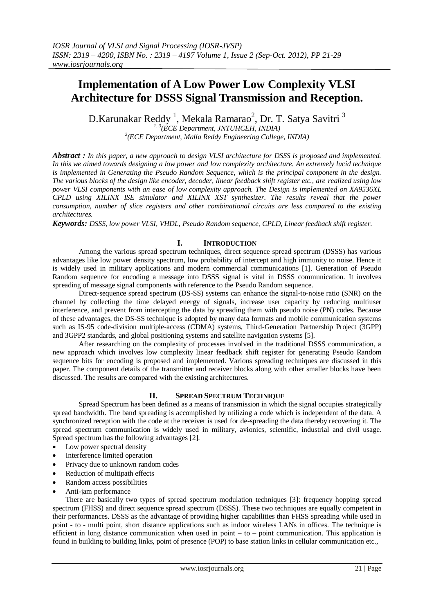# **Implementation of A Low Power Low Complexity VLSI Architecture for DSSS Signal Transmission and Reception.**

D.Karunakar Reddy  $^1$ , Mekala Ramarao $^2$ , Dr. T. Satya Savitri  $^3$ *1, 3(ECE Department, JNTUHCEH, INDIA) 2 (ECE Department, Malla Reddy Engineering College, INDIA)* 

*Abstract : In this paper, a new approach to design VLSI architecture for DSSS is proposed and implemented. In this we aimed towards designing a low power and low complexity architecture. An extremely lucid technique is implemented in Generating the Pseudo Random Sequence, which is the principal component in the design. The various blocks of the design like encoder, decoder, linear feedback shift register etc., are realized using low power VLSI components with an ease of low complexity approach. The Design is implemented on XA9536XL CPLD using XILINX ISE simulator and XILINX XST synthesizer. The results reveal that the power consumption, number of slice registers and other combinational circuits are less compared to the existing architectures.*

*Keywords: DSSS, low power VLSI, VHDL, Pseudo Random sequence, CPLD, Linear feedback shift register.*

# **I. INTRODUCTION**

Among the various spread spectrum techniques, direct sequence spread spectrum (DSSS) has various advantages like low power density spectrum, low probability of intercept and high immunity to noise. Hence it is widely used in military applications and modern commercial communications [1]. Generation of Pseudo Random sequence for encoding a message into DSSS signal is vital in DSSS communication. It involves spreading of message signal components with reference to the Pseudo Random sequence.

Direct-sequence spread spectrum (DS-SS) systems can enhance the signal-to-noise ratio (SNR) on the channel by collecting the time delayed energy of signals, increase user capacity by reducing multiuser interference, and prevent from intercepting the data by spreading them with pseudo noise (PN) codes. Because of these advantages, the DS-SS technique is adopted by many data formats and mobile communication systems such as IS-95 code-division multiple-access (CDMA) systems, Third-Generation Partnership Project (3GPP) and 3GPP2 standards, and global positioning systems and satellite navigation systems [5].

After researching on the complexity of processes involved in the traditional DSSS communication, a new approach which involves low complexity linear feedback shift register for generating Pseudo Random sequence bits for encoding is proposed and implemented. Various spreading techniques are discussed in this paper. The component details of the transmitter and receiver blocks along with other smaller blocks have been discussed. The results are compared with the existing architectures.

## **II. SPREAD SPECTRUM TECHNIQUE**

Spread Spectrum has been defined as a means of transmission in which the signal occupies strategically spread bandwidth. The band spreading is accomplished by utilizing a code which is independent of the data. A synchronized reception with the code at the receiver is used for de-spreading the data thereby recovering it. The spread spectrum communication is widely used in military, avionics, scientific, industrial and civil usage. Spread spectrum has the following advantages [2].

- Low power spectral density
- Interference limited operation
- Privacy due to unknown random codes
- Reduction of multipath effects
- Random access possibilities
- Anti-jam performance

There are basically two types of spread spectrum modulation techniques [3]: frequency hopping spread spectrum (FHSS) and direct sequence spread spectrum (DSSS). These two techniques are equally competent in their performances. DSSS as the advantage of providing higher capabilities than FHSS spreading while used in point - to - multi point, short distance applications such as indoor wireless LANs in offices. The technique is efficient in long distance communication when used in point – to – point communication. This application is found in building to building links, point of presence (POP) to base station links in cellular communication etc.,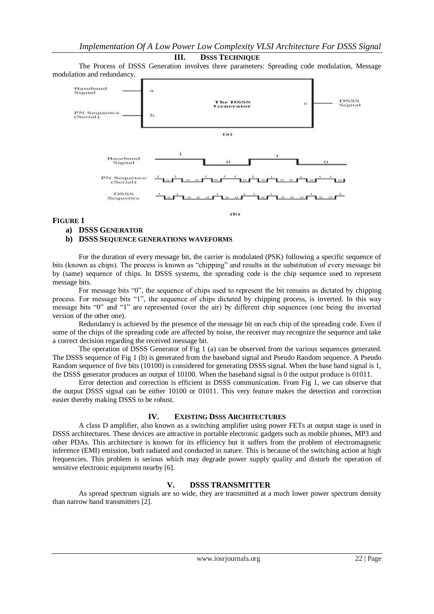#### **III. DSSS TECHNIQUE**

The Process of DSSS Generation involves three parameters: Spreading code modulation, Message modulation and redundancy.



#### **FIGURE 1**

#### **a) DSSS GENERATOR**

#### **b) DSSS SEQUENCE GENERATIONS WAVEFORMS**

For the duration of every message bit, the carrier is modulated (PSK) following a specific sequence of bits (known as chips). The process is known as "chipping" and results in the substitution of every message bit by (same) sequence of chips. In DSSS systems, the spreading code is the chip sequence used to represent message bits.

For message bits "0", the sequence of chips used to represent the bit remains as dictated by chipping process. For message bits "1", the sequence of chips dictated by chipping process, is inverted. In this way message bits "0" and "1" are represented (over the air) by different chip sequences (one being the inverted version of the other one).

Redundancy is achieved by the presence of the message bit on each chip of the spreading code. Even if some of the chips of the spreading code are affected by noise, the receiver may recognize the sequence and take a correct decision regarding the received message bit.

The operation of DSSS Generator of Fig 1 (a) can be observed from the various sequences generated. The DSSS sequence of Fig 1 (b) is generated from the baseband signal and Pseudo Random sequence. A Pseudo Random sequence of five bits (10100) is considered for generating DSSS signal. When the base band signal is 1, the DSSS generator produces an output of 10100. When the baseband signal is 0 the output produce is 01011.

Error detection and correction is efficient in DSSS communication. From Fig 1, we can observe that the output DSSS signal can be either 10100 or 01011. This very feature makes the detection and correction easier thereby making DSSS to be robust.

## **IV. EXISTING DSSS ARCHITECTURES**

A class D amplifier, also known as a switching amplifier using power FETs at output stage is used in DSSS architectures. These devices are attractive in portable electronic gadgets such as mobile phones, MP3 and other PDAs. This architecture is known for its efficiency but it suffers from the problem of electromagnetic inference (EMI) emission, both radiated and conducted in nature. This is because of the switching action at high frequencies. This problem is serious which may degrade power supply quality and disturb the operation of sensitive electronic equipment nearby [6].

## **V. DSSS TRANSMITTER**

As spread spectrum signals are so wide, they are transmitted at a much lower power spectrum density than narrow band transmitters [2].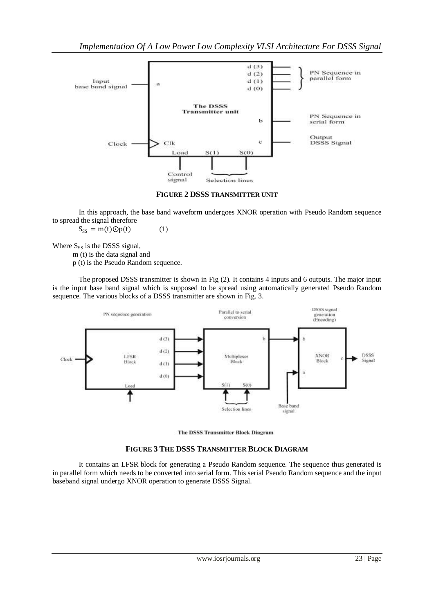

**FIGURE 2 DSSS TRANSMITTER UNIT**

In this approach, the base band waveform undergoes XNOR operation with Pseudo Random sequence to spread the signal therefore

 $S_{SS} = m(t) \odot p(t)$  (1)

Where  $S_{SS}$  is the DSSS signal,

m (t) is the data signal and

p (t) is the Pseudo Random sequence.

The proposed DSSS transmitter is shown in Fig (2). It contains 4 inputs and 6 outputs. The major input is the input base band signal which is supposed to be spread using automatically generated Pseudo Random sequence. The various blocks of a DSSS transmitter are shown in Fig. 3.





## **FIGURE 3 THE DSSS TRANSMITTER BLOCK DIAGRAM**

It contains an LFSR block for generating a Pseudo Random sequence. The sequence thus generated is in parallel form which needs to be converted into serial form. This serial Pseudo Random sequence and the input baseband signal undergo XNOR operation to generate DSSS Signal.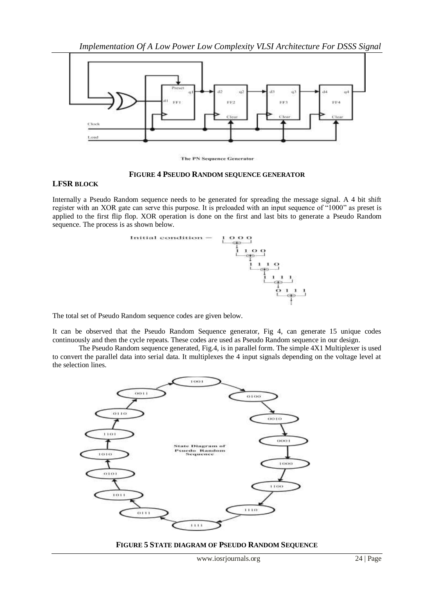

**The PN Sequence Generator** 

#### **FIGURE 4 PSEUDO RANDOM SEQUENCE GENERATOR**

#### **LFSR BLOCK**

Internally a Pseudo Random sequence needs to be generated for spreading the message signal. A 4 bit shift register with an XOR gate can serve this purpose. It is preloaded with an input sequence of "1000" as preset is applied to the first flip flop. XOR operation is done on the first and last bits to generate a Pseudo Random sequence. The process is as shown below.



The total set of Pseudo Random sequence codes are given below.

It can be observed that the Pseudo Random Sequence generator, Fig 4, can generate 15 unique codes continuously and then the cycle repeats. These codes are used as Pseudo Random sequence in our design.

The Pseudo Random sequence generated, Fig.4, is in parallel form. The simple 4X1 Multiplexer is used to convert the parallel data into serial data. It multiplexes the 4 input signals depending on the voltage level at the selection lines.



**FIGURE 5 STATE DIAGRAM OF PSEUDO RANDOM SEQUENCE**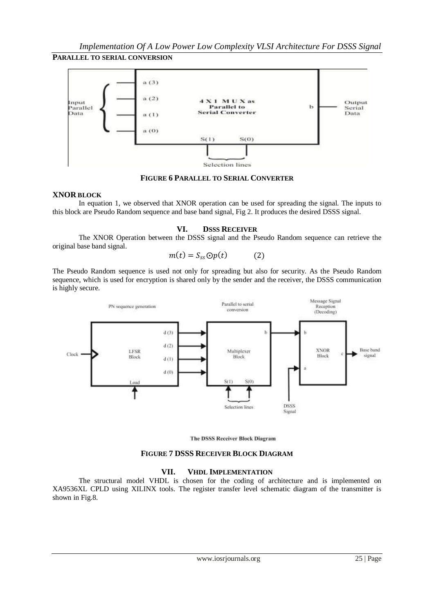# **PARALLEL TO SERIAL CONVERSION**



## **FIGURE 6 PARALLEL TO SERIAL CONVERTER**

## **XNOR BLOCK**

In equation 1, we observed that XNOR operation can be used for spreading the signal. The inputs to this block are Pseudo Random sequence and base band signal, Fig 2. It produces the desired DSSS signal.

# **VI. DSSS RECEIVER**

The XNOR Operation between the DSSS signal and the Pseudo Random sequence can retrieve the original base band signal.

$$
m(t) = S_{ss} \Theta p(t) \tag{2}
$$

The Pseudo Random sequence is used not only for spreading but also for security. As the Pseudo Random sequence, which is used for encryption is shared only by the sender and the receiver, the DSSS communication is highly secure.



The DSSS Receiver Block Diagram

## **FIGURE 7 DSSS RECEIVER BLOCK DIAGRAM**

## **VII. VHDL IMPLEMENTATION**

The structural model VHDL is chosen for the coding of architecture and is implemented on XA9536XL CPLD using XILINX tools. The register transfer level schematic diagram of the transmitter is shown in Fig.8.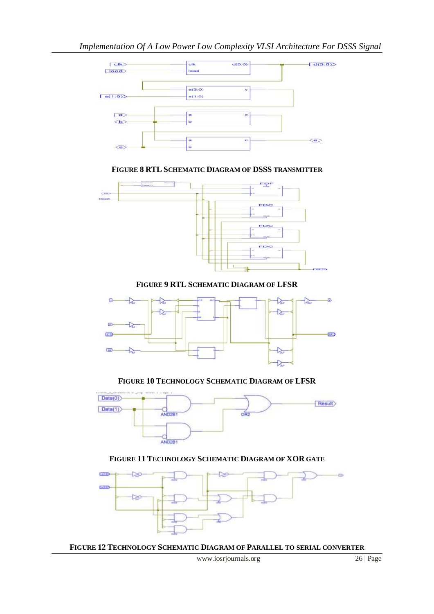

**FIGURE 8 RTL SCHEMATIC DIAGRAM OF DSSS TRANSMITTER** 



**FIGURE 9 RTL SCHEMATIC DIAGRAM OF LFSR**



**FIGURE 10 TECHNOLOGY SCHEMATIC DIAGRAM OF LFSR**



# **FIGURE 11 TECHNOLOGY SCHEMATIC DIAGRAM OF XOR GATE**



**FIGURE 12 TECHNOLOGY SCHEMATIC DIAGRAM OF PARALLEL TO SERIAL CONVERTER**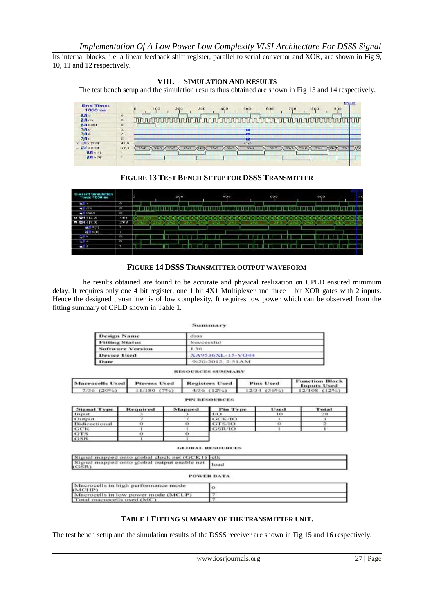Its internal blocks, i.e. a linear feedback shift register, parallel to serial convertor and XOR, are shown in Fig 9, 10, 11 and 12 respectively.

#### **VIII. SIMULATION AND RESULTS**

The test bench setup and the simulation results thus obtained are shown in Fig 13 and 14 respectively.



## **FIGURE 13 TEST BENCH SETUP FOR DSSS TRANSMITTER**

| nt Sunulation<br>Time: TOOO ms |                        |             |              | 200 |      |      | 400 |     |       |  | 600 |  |             | 600 |      |  |      | <b>TC</b> |
|--------------------------------|------------------------|-------------|--------------|-----|------|------|-----|-----|-------|--|-----|--|-------------|-----|------|--|------|-----------|
| all a                          | ō                      |             |              |     |      |      |     |     |       |  |     |  |             |     |      |  |      |           |
| <b>WATER</b>                   | <b>ASSISTENT</b><br>χo |             |              |     |      |      |     |     |       |  |     |  |             |     |      |  |      |           |
| of Hoad                        | ø                      |             |              |     |      |      |     |     |       |  |     |  |             |     |      |  |      |           |
| □ 登 6(2.0)                     | 4711                   | <b>ATLY</b> |              |     |      |      |     |     |       |  |     |  |             |     |      |  |      |           |
| ■ 图4-011-01                    | 2913                   | mu:         | $25 - 37.25$ |     | コフリリ | בודג |     | 電気箱 | 2.111 |  |     |  | <b>TELE</b> |     | דודו |  | RTN. |           |
| $6/1 = 11$                     | ×                      |             |              |     |      |      |     |     |       |  |     |  |             |     |      |  |      |           |
| $-110101$                      | ٠                      |             |              |     |      |      |     |     |       |  |     |  |             |     |      |  |      |           |
| 6/10                           | o                      |             |              |     |      |      |     |     |       |  |     |  |             |     |      |  |      |           |
| de l'I o                       | u.                     |             |              |     |      |      |     |     |       |  |     |  |             |     |      |  |      |           |
| $\bullet$ <sup>11</sup>        |                        |             |              |     |      |      |     |     |       |  |     |  |             |     |      |  |      |           |
|                                |                        |             |              |     |      |      |     |     |       |  |     |  |             |     |      |  |      |           |

## **FIGURE 14 DSSS TRANSMITTER OUTPUT WAVEFORM**

The results obtained are found to be accurate and physical realization on CPLD ensured minimum delay. It requires only one 4 bit register, one 1 bit 4X1 Multiplexer and three 1 bit XOR gates with 2 inputs. Hence the designed transmitter is of low complexity. It requires low power which can be observed from the fitting summary of CPLD shown in Table 1.

|               |                         |                                                 |               | Summary                  |              |                  |                                             |  |  |  |  |
|---------------|-------------------------|-------------------------------------------------|---------------|--------------------------|--------------|------------------|---------------------------------------------|--|--|--|--|
|               | <b>Design Name</b>      |                                                 |               | dues                     |              |                  |                                             |  |  |  |  |
|               | <b>Fitting Status</b>   |                                                 |               | Successful               |              |                  |                                             |  |  |  |  |
|               | <b>Software Version</b> |                                                 |               | 1.36                     |              |                  |                                             |  |  |  |  |
|               |                         |                                                 |               |                          |              |                  |                                             |  |  |  |  |
|               | Device Used             |                                                 |               | XA9536XL-15-VO44         |              |                  |                                             |  |  |  |  |
|               | Date                    |                                                 |               | 9-20-2012, 2:51AM        |              |                  |                                             |  |  |  |  |
|               |                         |                                                 |               | <b>RESOURCES SUMMARY</b> |              |                  |                                             |  |  |  |  |
|               | <b>Macrocells Used</b>  | <b>Prerms Used</b>                              |               | <b>Registers Used</b>    |              | <b>Pins Used</b> | <b>Function Block</b><br><b>Inputs Used</b> |  |  |  |  |
|               | 7/36 (20%)              | $11/180(7\%)$                                   |               | 4/36 (12%)               |              | 12/34 (36%)      | $12/108$ $(12\%)$                           |  |  |  |  |
|               |                         |                                                 |               | <b>PIN RESOURCES</b>     |              |                  |                                             |  |  |  |  |
|               | <b>Signal Type</b>      | Required                                        | Mapped        | <b>Pin Type</b>          |              | Used             | Total                                       |  |  |  |  |
| Input         |                         | з                                               | $\rightarrow$ | 1/O                      | 10           |                  | 28                                          |  |  |  |  |
| Output        |                         | ヮ                                               | ヺ             | <b>GCK/IO</b>            | $\mathbf{I}$ |                  | 3                                           |  |  |  |  |
| Bidirectional |                         | $\Omega$                                        | $\sigma$      | GTS/IO                   | $\sigma$     |                  | 2                                           |  |  |  |  |
| GCK           |                         | ٠                                               |               | GSR/IO                   | ٠            |                  | $\mathbf{r}$                                |  |  |  |  |
| <b>GTS</b>    |                         | o                                               | o             |                          |              |                  |                                             |  |  |  |  |
| GSR           |                         | $\mathbf{I}$                                    | ٠             |                          |              |                  |                                             |  |  |  |  |
|               |                         |                                                 |               | <b>GLOBAL RESOURCES</b>  |              |                  |                                             |  |  |  |  |
|               |                         | Signal mapped onto global clock net (GCK1) [clk |               |                          |              |                  |                                             |  |  |  |  |
| (GSR)         |                         | Signal mapped onto global output enable net     |               | <b>Toad</b>              |              |                  |                                             |  |  |  |  |
|               |                         |                                                 |               | <b>POWER DATA</b>        |              |                  |                                             |  |  |  |  |
| (MCHP)        |                         | Macrocells in high performance mode             |               | $\circ$                  |              |                  |                                             |  |  |  |  |
|               |                         |                                                 |               |                          |              |                  |                                             |  |  |  |  |
|               |                         | Macrocells in low power mode (MCLP)             |               | 7                        |              |                  |                                             |  |  |  |  |

## **TABLE 1 FITTING SUMMARY OF THE TRANSMITTER UNIT.**

The test bench setup and the simulation results of the DSSS receiver are shown in Fig 15 and 16 respectively.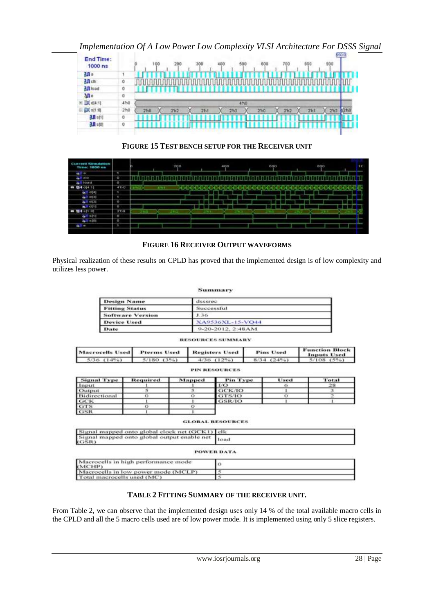*Implementation Of A Low Power Low Complexity VLSI Architecture For DSSS Signal* 



**FIGURE 15 TEST BENCH SETUP FOR THE RECEIVER UNIT**

| Current Semalation<br>Time: 1000 ms |                         |      | 200 |  | 400 |     | 600 |  | 800  | <b>AC</b>         |
|-------------------------------------|-------------------------|------|-----|--|-----|-----|-----|--|------|-------------------|
| d.<br><b>Ta</b>                     | ۰                       |      |     |  |     |     |     |  |      | <b>STATISTICS</b> |
| $\bullet$<br>cile                   | ÷<br><b>TO</b>          |      |     |  |     |     |     |  |      |                   |
| <b>Noad</b><br>ab.                  | $\overline{\mathbf{0}}$ |      |     |  |     |     |     |  |      |                   |
| ■ 卷4 014.11                         | 40<                     | 1711 |     |  |     |     |     |  |      |                   |
| $-11.41$                            | п                       |      |     |  |     |     |     |  |      |                   |
| $-1.0131$                           | ٠                       |      |     |  |     |     |     |  |      |                   |
| 6.119181                            | ю                       |      |     |  |     |     |     |  |      | <b>STATE</b>      |
| 0.0011                              | o                       |      |     |  |     |     |     |  |      |                   |
| ■ 野4 11 01                          | 2700                    |      |     |  |     | าเว |     |  | 2311 |                   |
| 021 5111                            | ū                       |      |     |  |     |     |     |  |      |                   |
| 611.101                             | LO.                     |      |     |  |     |     |     |  |      | -                 |
| ide.<br>÷                           | п                       |      |     |  |     |     |     |  |      | <b>Lane</b>       |
|                                     |                         |      |     |  |     |     |     |  |      |                   |

# **FIGURE 16 RECEIVER OUTPUT WAVEFORMS**

Physical realization of these results on CPLD has proved that the implemented design is of low complexity and utilizes less power.

#### Summary

| <b>Design Name</b>      | dsssrec                |  |
|-------------------------|------------------------|--|
| <b>Fitting Status</b>   | Successful             |  |
| <b>Software Version</b> | 1.36                   |  |
| <b>Device Used</b>      | XA9536XL-15-VO44       |  |
| Date                    | $9-20-2012$ , $2:48AM$ |  |

#### **RESOURCES SUMMARY**

|                 | Macrocells Used Pterms Used Registers Used      | <b>Pins Used</b> | <b>Function Block<br/>Inputs Used</b> |
|-----------------|-------------------------------------------------|------------------|---------------------------------------|
| $5/36$ $(14\%)$ | $5/180$ $(3\%)$ $4/36$ $(12\%)$ $8/34$ $(24\%)$ |                  | $5/108$ $(5\%)$                       |

| <b>PIN RESOURCES</b> |  |
|----------------------|--|

| <b>Signal Type</b>              | Required | Mapped | Pin Type | Used | Total |
|---------------------------------|----------|--------|----------|------|-------|
| Input                           |          |        | 1/O      |      |       |
| Output                          |          |        | GCK/IO   |      |       |
| Bidirectional                   |          |        | GTS/IO   |      |       |
| $\frac{\text{GCK}}{\text{GTS}}$ |          |        | GSR/IO   |      |       |
|                                 |          |        |          |      |       |
|                                 |          |        |          |      |       |

**GLOBAL RESOURCES** 

| Signal mapped onto global clock net (GCK1) elk           |            |
|----------------------------------------------------------|------------|
| Signal mapped onto global output enable net load<br>GSR) |            |
|                                                          | POWER DATA |

| Macrocells in high performance mode<br>(MCHP) |  |
|-----------------------------------------------|--|
| Macrocells in low power mode (MCLP)           |  |
| Total macrocells used (MC)                    |  |

# **TABLE 2 FITTING SUMMARY OF THE RECEIVER UNIT.**

From Table 2, we can observe that the implemented design uses only 14 % of the total available macro cells in the CPLD and all the 5 macro cells used are of low power mode. It is implemented using only 5 slice registers.